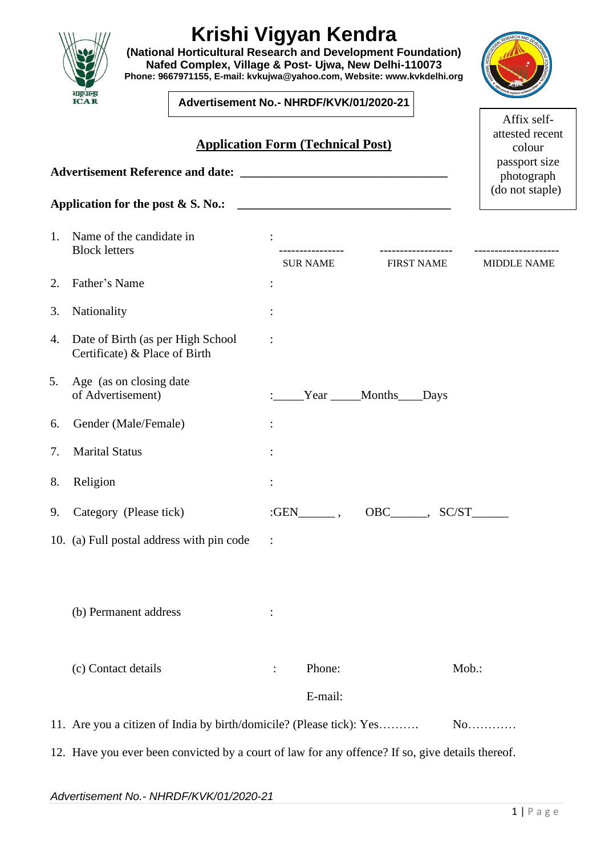|    | Application for the post $& S. No.$ :                                                            |                |                     |                                                   | (do not staple)    |  |  |
|----|--------------------------------------------------------------------------------------------------|----------------|---------------------|---------------------------------------------------|--------------------|--|--|
| 1. | Name of the candidate in<br><b>Block letters</b>                                                 |                | <b>SUR NAME</b>     | <b>FIRST NAME</b>                                 | <b>MIDDLE NAME</b> |  |  |
| 2. | Father's Name                                                                                    |                |                     |                                                   |                    |  |  |
| 3. | Nationality                                                                                      |                |                     |                                                   |                    |  |  |
| 4. | Date of Birth (as per High School<br>Certificate) & Place of Birth                               |                |                     |                                                   |                    |  |  |
| 5. | Age (as on closing date<br>of Advertisement)                                                     |                |                     | Year _____Months____Days                          |                    |  |  |
| 6. | Gender (Male/Female)                                                                             |                |                     |                                                   |                    |  |  |
| 7. | <b>Marital Status</b>                                                                            |                |                     |                                                   |                    |  |  |
| 8. | Religion                                                                                         |                |                     |                                                   |                    |  |  |
| 9. | Category (Please tick)                                                                           |                | $:GEN$ <sub>,</sub> | $OBC$ <sub>_____</sub> , $SC/ST$ <sub>_____</sub> |                    |  |  |
|    | 10. (a) Full postal address with pin code                                                        | $\mathbb{R}^2$ |                     |                                                   |                    |  |  |
|    | (b) Permanent address                                                                            |                |                     |                                                   |                    |  |  |
|    | (c) Contact details                                                                              | $\ddot{\cdot}$ | Phone:              |                                                   | Mob.:              |  |  |
|    |                                                                                                  |                | E-mail:             |                                                   |                    |  |  |
|    | 11. Are you a citizen of India by birth/domicile? (Please tick): Yes                             |                |                     |                                                   | $No$               |  |  |
|    | 12. Have you ever been convicted by a court of law for any offence? If so, give details thereof. |                |                     |                                                   |                    |  |  |
|    |                                                                                                  |                |                     |                                                   |                    |  |  |



**(National Horticultural Research and Development Foundation) Nafed Complex, Village & Post- Ujwa, New Delhi-110073 Phone: 9667971155, E-mail: [kvkujwa@yahoo.com,](mailto:kvkujwa@yahoo.com) Website: [www.kvkdelhi.org](http://www.kvkdelhi.org/)**

**Advertisement No.- NHRDF/KVK/01/2020-21**

**Application Form (Technical Post)**



Affix selfattested recent colour ssport size (do not staple)

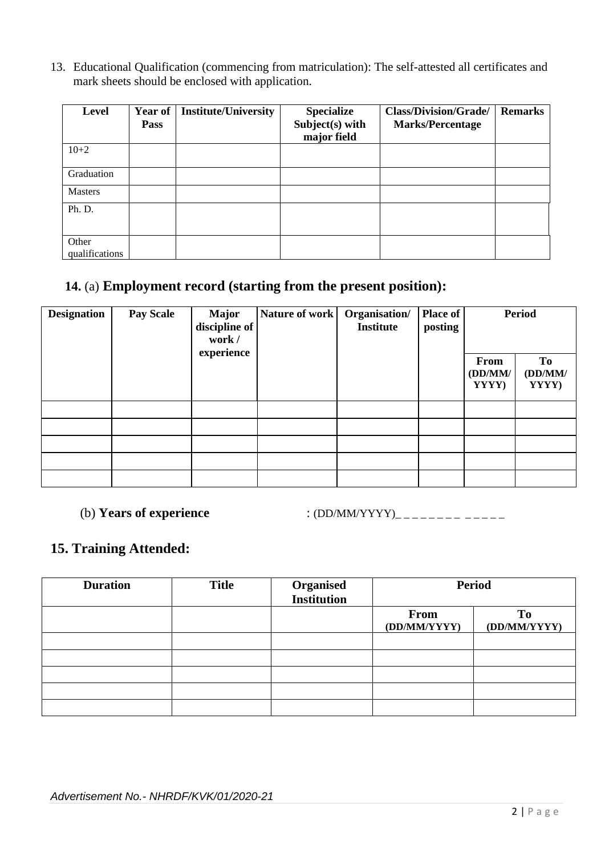13. Educational Qualification (commencing from matriculation): The self-attested all certificates and mark sheets should be enclosed with application.

| <b>Level</b>            | Year of<br>Pass | <b>Institute/University</b> | <b>Specialize</b><br>Subject(s) with<br>major field | <b>Class/Division/Grade/</b><br><b>Marks/Percentage</b> | <b>Remarks</b> |
|-------------------------|-----------------|-----------------------------|-----------------------------------------------------|---------------------------------------------------------|----------------|
| $10 + 2$                |                 |                             |                                                     |                                                         |                |
| Graduation              |                 |                             |                                                     |                                                         |                |
| <b>Masters</b>          |                 |                             |                                                     |                                                         |                |
| Ph. D.                  |                 |                             |                                                     |                                                         |                |
| Other<br>qualifications |                 |                             |                                                     |                                                         |                |

### **14.** (a) **Employment record (starting from the present position):**

| <b>Designation</b> | <b>Pay Scale</b> | <b>Major</b><br>discipline of<br>work / | Nature of work | Organisation/<br><b>Institute</b> | Place of<br>posting | <b>Period</b>            |                        |
|--------------------|------------------|-----------------------------------------|----------------|-----------------------------------|---------------------|--------------------------|------------------------|
|                    |                  | experience                              |                |                                   |                     | From<br>(DD/MM)<br>YYYY) | To<br>(DD/MM)<br>YYYY) |
|                    |                  |                                         |                |                                   |                     |                          |                        |
|                    |                  |                                         |                |                                   |                     |                          |                        |
|                    |                  |                                         |                |                                   |                     |                          |                        |
|                    |                  |                                         |                |                                   |                     |                          |                        |
|                    |                  |                                         |                |                                   |                     |                          |                        |

(b) **Years of experience** : (DD/MM/YYYY)\_ \_ \_ \_ \_ \_ \_ \_ \_ \_ \_ \_ \_

#### **15. Training Attended:**

| <b>Duration</b> | <b>Title</b> | <b>Organised</b><br>Institution | <b>Period</b>        |                    |
|-----------------|--------------|---------------------------------|----------------------|--------------------|
|                 |              |                                 | From<br>(DD/MM/YYYY) | To<br>(DD/MM/YYYY) |
|                 |              |                                 |                      |                    |
|                 |              |                                 |                      |                    |
|                 |              |                                 |                      |                    |
|                 |              |                                 |                      |                    |
|                 |              |                                 |                      |                    |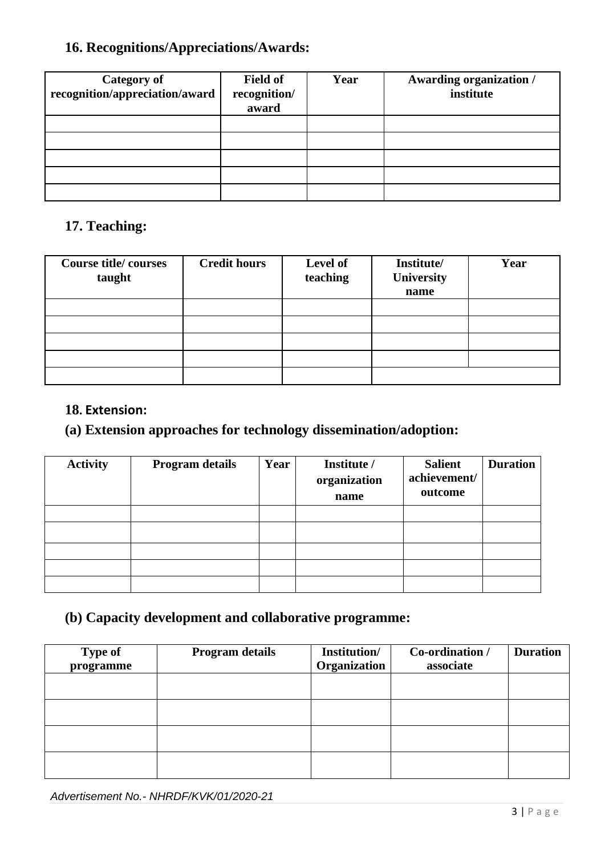### **16. Recognitions/Appreciations/Awards:**

| <b>Category of</b><br>recognition/appreciation/award | <b>Field of</b><br>recognition/<br>award | Year | <b>Awarding organization /</b><br>institute |
|------------------------------------------------------|------------------------------------------|------|---------------------------------------------|
|                                                      |                                          |      |                                             |
|                                                      |                                          |      |                                             |
|                                                      |                                          |      |                                             |
|                                                      |                                          |      |                                             |
|                                                      |                                          |      |                                             |

### **17. Teaching:**

| <b>Course title/courses</b><br>taught | <b>Credit hours</b> | Level of<br>teaching | Institute/<br>University<br>name | Year |
|---------------------------------------|---------------------|----------------------|----------------------------------|------|
|                                       |                     |                      |                                  |      |
|                                       |                     |                      |                                  |      |
|                                       |                     |                      |                                  |      |
|                                       |                     |                      |                                  |      |
|                                       |                     |                      |                                  |      |

#### **18. Extension:**

### **(a) Extension approaches for technology dissemination/adoption:**

| <b>Activity</b> | <b>Program details</b> | Year | Institute /<br>organization<br>name | <b>Salient</b><br>achievement/<br>outcome | <b>Duration</b> |
|-----------------|------------------------|------|-------------------------------------|-------------------------------------------|-----------------|
|                 |                        |      |                                     |                                           |                 |
|                 |                        |      |                                     |                                           |                 |
|                 |                        |      |                                     |                                           |                 |
|                 |                        |      |                                     |                                           |                 |
|                 |                        |      |                                     |                                           |                 |

### **(b) Capacity development and collaborative programme:**

| <b>Type of</b><br>programme | <b>Program details</b> | Institution/<br>Organization | Co-ordination /<br>associate | <b>Duration</b> |
|-----------------------------|------------------------|------------------------------|------------------------------|-----------------|
|                             |                        |                              |                              |                 |
|                             |                        |                              |                              |                 |
|                             |                        |                              |                              |                 |
|                             |                        |                              |                              |                 |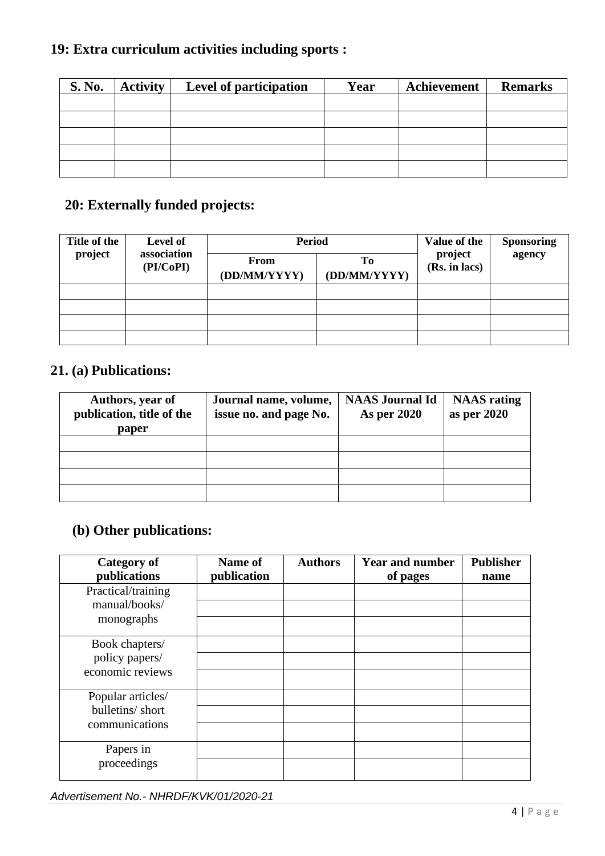# **19: Extra curriculum activities including sports :**

| <b>S. No.</b> | Activity | Level of participation | Year | Achievement | <b>Remarks</b> |
|---------------|----------|------------------------|------|-------------|----------------|
|               |          |                        |      |             |                |
|               |          |                        |      |             |                |
|               |          |                        |      |             |                |
|               |          |                        |      |             |                |
|               |          |                        |      |             |                |

## **20: Externally funded projects:**

| Title of the | Level of<br>association | <b>Period</b>               |                    | Value of the<br>project<br>(Rs. in lacs) | <b>Sponsoring</b> |
|--------------|-------------------------|-----------------------------|--------------------|------------------------------------------|-------------------|
| project      | (PI/CoPI)               | <b>From</b><br>(DD/MM/YYYY) | Tо<br>(DD/MM/YYYY) |                                          | agency            |
|              |                         |                             |                    |                                          |                   |
|              |                         |                             |                    |                                          |                   |
|              |                         |                             |                    |                                          |                   |
|              |                         |                             |                    |                                          |                   |

### **21. (a) Publications:**

| Authors, year of<br>publication, title of the<br>paper | Journal name, volume,<br>issue no. and page No. | <b>NAAS Journal Id</b><br><b>As per 2020</b> | <b>NAAS</b> rating<br>as per 2020 |
|--------------------------------------------------------|-------------------------------------------------|----------------------------------------------|-----------------------------------|
|                                                        |                                                 |                                              |                                   |
|                                                        |                                                 |                                              |                                   |
|                                                        |                                                 |                                              |                                   |
|                                                        |                                                 |                                              |                                   |

## **(b) Other publications:**

| <b>Category of</b><br>publications  | Name of<br>publication | <b>Authors</b> | <b>Year and number</b><br>of pages | <b>Publisher</b><br>name |
|-------------------------------------|------------------------|----------------|------------------------------------|--------------------------|
| Practical/training<br>manual/books/ |                        |                |                                    |                          |
| monographs                          |                        |                |                                    |                          |
| Book chapters/<br>policy papers/    |                        |                |                                    |                          |
| economic reviews                    |                        |                |                                    |                          |
| Popular articles/                   |                        |                |                                    |                          |
| bulletins/short<br>communications   |                        |                |                                    |                          |
|                                     |                        |                |                                    |                          |
| Papers in                           |                        |                |                                    |                          |
| proceedings                         |                        |                |                                    |                          |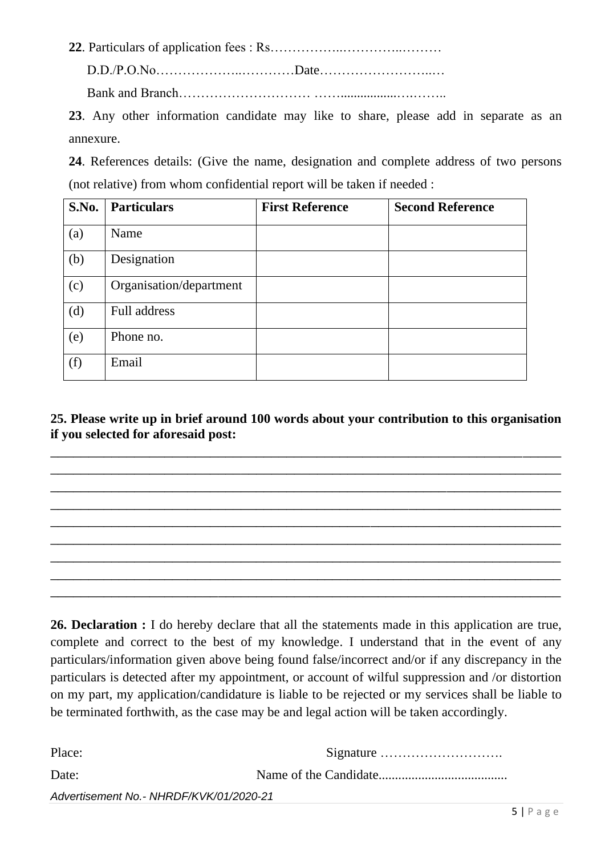**22**. Particulars of application fees : Rs……………..…………..………

D.D./P.O.No………………..…………Date……………………..… Bank and Branch………………………… …….................….……..

**23**. Any other information candidate may like to share, please add in separate as an annexure.

**24**. References details: (Give the name, designation and complete address of two persons (not relative) from whom confidential report will be taken if needed :

| S.No. | <b>Particulars</b>      | <b>First Reference</b> | <b>Second Reference</b> |
|-------|-------------------------|------------------------|-------------------------|
| (a)   | Name                    |                        |                         |
| (b)   | Designation             |                        |                         |
| (c)   | Organisation/department |                        |                         |
| (d)   | Full address            |                        |                         |
| (e)   | Phone no.               |                        |                         |
| (f)   | Email                   |                        |                         |

**25. Please write up in brief around 100 words about your contribution to this organisation if you selected for aforesaid post:**

\_\_\_\_\_\_\_\_\_\_\_\_\_\_\_\_\_\_\_\_\_\_\_\_\_\_\_\_\_\_\_\_\_\_\_\_\_\_\_\_\_\_\_\_\_\_\_\_\_\_\_\_\_\_\_\_\_\_\_\_\_\_\_\_\_\_\_ \_\_\_\_\_\_\_\_\_\_\_\_\_\_\_\_\_\_\_\_\_\_\_\_\_\_\_\_\_\_\_\_\_\_\_\_\_\_\_\_\_\_\_\_\_\_\_\_\_\_\_\_\_\_\_\_\_\_\_\_\_\_\_\_\_\_\_  $\overline{\phantom{a}}$  , and the contribution of the contribution of the contribution of the contribution of the contribution of the contribution of the contribution of the contribution of the contribution of the contribution of the \_\_\_\_\_\_\_\_\_\_\_\_\_\_\_\_\_\_\_\_\_\_\_\_\_\_\_\_\_\_\_\_\_\_\_\_\_\_\_\_\_\_\_\_\_\_\_\_\_\_\_\_\_\_\_\_\_\_\_\_\_\_\_\_\_\_\_ \_\_\_\_\_\_\_\_\_\_\_\_\_\_\_\_\_\_\_\_\_\_\_\_\_\_\_\_\_\_\_\_\_\_\_\_\_\_\_\_\_\_\_\_\_\_\_\_\_\_\_\_\_\_\_\_\_\_\_\_\_\_\_\_\_\_\_ \_\_\_\_\_\_\_\_\_\_\_\_\_\_\_\_\_\_\_\_\_\_\_\_\_\_\_\_\_\_\_\_\_\_\_\_\_\_\_\_\_\_\_\_\_\_\_\_\_\_\_\_\_\_\_\_\_\_\_\_\_\_\_\_\_\_\_ \_\_\_\_\_\_\_\_\_\_\_\_\_\_\_\_\_\_\_\_\_\_\_\_\_\_\_\_\_\_\_\_\_\_\_\_\_\_\_\_\_\_\_\_\_\_\_\_\_\_\_\_\_\_\_\_\_\_\_\_\_\_\_\_\_\_\_ \_\_\_\_\_\_\_\_\_\_\_\_\_\_\_\_\_\_\_\_\_\_\_\_\_\_\_\_\_\_\_\_\_\_\_\_\_\_\_\_\_\_\_\_\_\_\_\_\_\_\_\_\_\_\_\_\_\_\_\_\_\_\_\_\_\_\_ \_\_\_\_\_\_\_\_\_\_\_\_\_\_\_\_\_\_\_\_\_\_\_\_\_\_\_\_\_\_\_\_\_\_\_\_\_\_\_\_\_\_\_\_\_\_\_\_\_\_\_\_\_\_\_\_\_\_\_\_\_\_\_\_\_\_\_

**26. Declaration :** I do hereby declare that all the statements made in this application are true, complete and correct to the best of my knowledge. I understand that in the event of any particulars/information given above being found false/incorrect and/or if any discrepancy in the particulars is detected after my appointment, or account of wilful suppression and /or distortion on my part, my application/candidature is liable to be rejected or my services shall be liable to be terminated forthwith, as the case may be and legal action will be taken accordingly.

| Place:                                  |  |  |
|-----------------------------------------|--|--|
| Date:                                   |  |  |
| Advertisement No.- NHRDF/KVK/01/2020-21 |  |  |